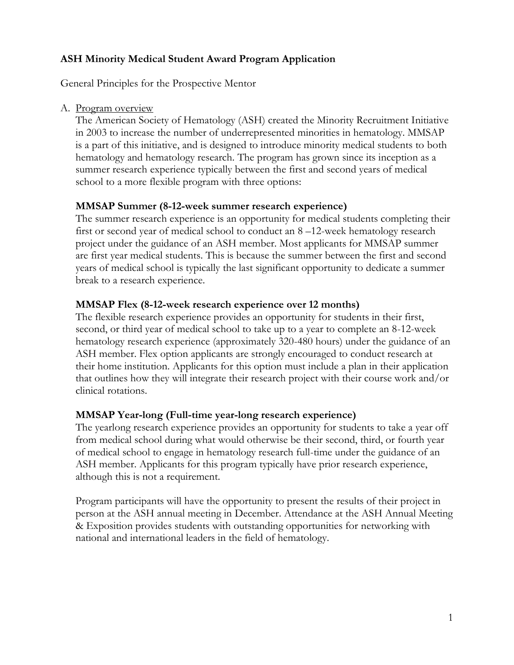## **ASH Minority Medical Student Award Program Application**

General Principles for the Prospective Mentor

A. Program overview

The American Society of Hematology (ASH) created the Minority Recruitment Initiative in 2003 to increase the number of underrepresented minorities in hematology. MMSAP is a part of this initiative, and is designed to introduce minority medical students to both hematology and hematology research. The program has grown since its inception as a summer research experience typically between the first and second years of medical school to a more flexible program with three options:

# **MMSAP Summer (8-12-week summer research experience)**

The summer research experience is an opportunity for medical students completing their first or second year of medical school to conduct an 8 –12-week hematology research project under the guidance of an ASH member. Most applicants for MMSAP summer are first year medical students. This is because the summer between the first and second years of medical school is typically the last significant opportunity to dedicate a summer break to a research experience.

# **MMSAP Flex (8-12-week research experience over 12 months)**

The flexible research experience provides an opportunity for students in their first, second, or third year of medical school to take up to a year to complete an 8-12-week hematology research experience (approximately 320-480 hours) under the guidance of an ASH member. Flex option applicants are strongly encouraged to conduct research at their home institution. Applicants for this option must include a plan in their application that outlines how they will integrate their research project with their course work and/or clinical rotations.

## **MMSAP Year-long (Full-time year-long research experience)**

The yearlong research experience provides an opportunity for students to take a year off from medical school during what would otherwise be their second, third, or fourth year of medical school to engage in hematology research full-time under the guidance of an ASH member. Applicants for this program typically have prior research experience, although this is not a requirement.

Program participants will have the opportunity to present the results of their project in person at the ASH annual meeting in December. Attendance at the ASH Annual Meeting & Exposition provides students with outstanding opportunities for networking with national and international leaders in the field of hematology.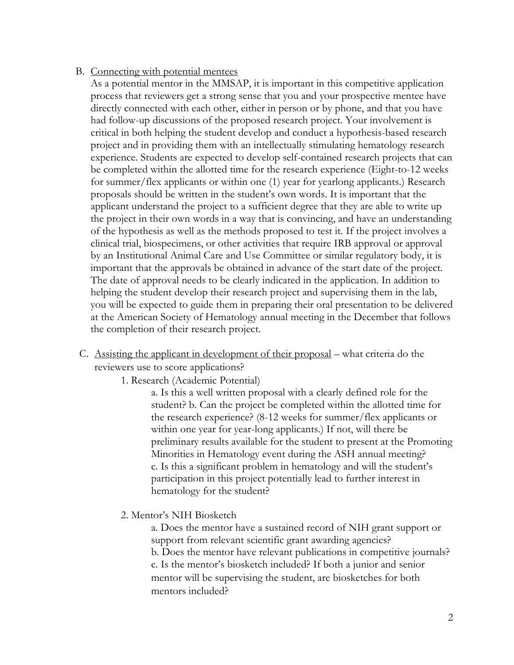### B. Connecting with potential mentees

As a potential mentor in the MMSAP, it is important in this competitive application process that reviewers get a strong sense that you and your prospective mentee have directly connected with each other, either in person or by phone, and that you have had follow-up discussions of the proposed research project. Your involvement is critical in both helping the student develop and conduct a hypothesis-based research project and in providing them with an intellectually stimulating hematology research experience. Students are expected to develop self-contained research projects that can be completed within the allotted time for the research experience (Eight-to-12 weeks for summer/flex applicants or within one (1) year for yearlong applicants.) Research proposals should be written in the student's own words. It is important that the applicant understand the project to a sufficient degree that they are able to write up the project in their own words in a way that is convincing, and have an understanding of the hypothesis as well as the methods proposed to test it. If the project involves a clinical trial, biospecimens, or other activities that require IRB approval or approval by an Institutional Animal Care and Use Committee or similar regulatory body, it is important that the approvals be obtained in advance of the start date of the project. The date of approval needs to be clearly indicated in the application. In addition to helping the student develop their research project and supervising them in the lab, you will be expected to guide them in preparing their oral presentation to be delivered at the American Society of Hematology annual meeting in the December that follows the completion of their research project.

### C. Assisting the applicant in development of their proposal – what criteria do the reviewers use to score applications?

1. Research (Academic Potential)

a. Is this a well written proposal with a clearly defined role for the student? b. Can the project be completed within the allotted time for the research experience? (8-12 weeks for summer/flex applicants or within one year for year-long applicants.) If not, will there be preliminary results available for the student to present at the Promoting Minorities in Hematology event during the ASH annual meeting? c. Is this a significant problem in hematology and will the student's participation in this project potentially lead to further interest in hematology for the student?

2. Mentor's NIH Biosketch

a. Does the mentor have a sustained record of NIH grant support or support from relevant scientific grant awarding agencies? b. Does the mentor have relevant publications in competitive journals? c. Is the mentor's biosketch included? If both a junior and senior mentor will be supervising the student, are biosketches for both mentors included?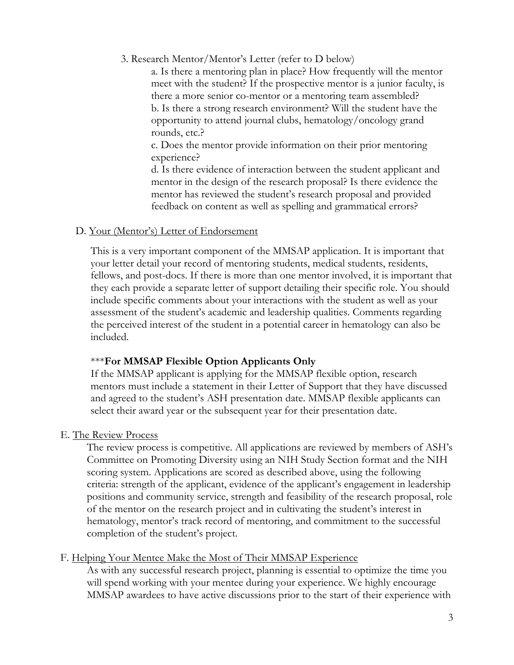3. Research Mentor/Mentor's Letter (refer to D below)

a. Is there a mentoring plan in place? How frequently will the mentor meet with the student? If the prospective mentor is a junior faculty, is there a more senior co-mentor or a mentoring team assembled? b. Is there a strong research environment? Will the student have the opportunity to attend journal clubs, hematology/oncology grand rounds, etc.?

c. Does the mentor provide information on their prior mentoring experience?

d. Is there evidence of interaction between the student applicant and mentor in the design of the research proposal? Is there evidence the mentor has reviewed the student's research proposal and provided feedback on content as well as spelling and grammatical errors?

### D. Your (Mentor's) Letter of Endorsement

This is a very important component of the MMSAP application. It is important that your letter detail your record of mentoring students, medical students, residents, fellows, and post-docs. If there is more than one mentor involved, it is important that they each provide a separate letter of support detailing their specific role. You should include specific comments about your interactions with the student as well as your assessment of the student's academic and leadership qualities. Comments regarding the perceived interest of the student in a potential career in hematology can also be included.

### \*\*\***For MMSAP Flexible Option Applicants Only**

If the MMSAP applicant is applying for the MMSAP flexible option, research mentors must include a statement in their Letter of Support that they have discussed and agreed to the student's ASH presentation date. MMSAP flexible applicants can select their award year or the subsequent year for their presentation date.

### E. The Review Process

The review process is competitive. All applications are reviewed by members of ASH's Committee on Promoting Diversity using an NIH Study Section format and the NIH scoring system. Applications are scored as described above, using the following criteria: strength of the applicant, evidence of the applicant's engagement in leadership positions and community service, strength and feasibility of the research proposal, role of the mentor on the research project and in cultivating the student's interest in hematology, mentor's track record of mentoring, and commitment to the successful completion of the student's project.

### F. Helping Your Mentee Make the Most of Their MMSAP Experience

As with any successful research project, planning is essential to optimize the time you will spend working with your mentee during your experience. We highly encourage MMSAP awardees to have active discussions prior to the start of their experience with